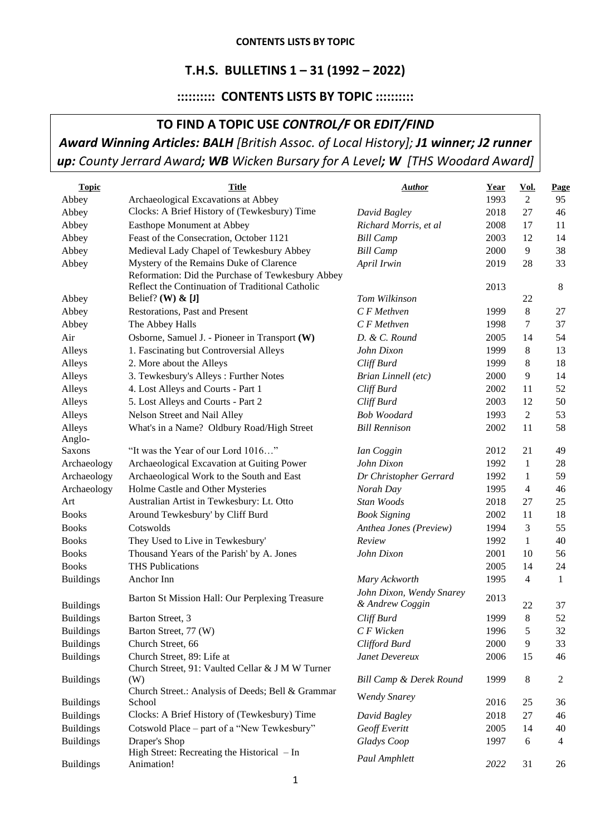## **T.H.S. BULLETINS 1 – 31 (1992 – 2022)**

## **:::::::::: CONTENTS LISTS BY TOPIC ::::::::::**

# **TO FIND A TOPIC USE** *CONTROL/F* **OR** *EDIT/FIND Award Winning Articles: BALH [British Assoc. of Local History]; J1 winner; J2 runner up: County Jerrard Award; WB Wicken Bursary for A Level; W [THS Woodard Award]*

| <b>Topic</b>     | <b>Title</b>                                             | <b>Author</b>                      | Year | <u>Vol.</u>    | Page           |
|------------------|----------------------------------------------------------|------------------------------------|------|----------------|----------------|
| Abbey            | Archaeological Excavations at Abbey                      |                                    | 1993 | 2              | 95             |
| Abbey            | Clocks: A Brief History of (Tewkesbury) Time             | David Bagley                       | 2018 | 27             | 46             |
| Abbey            | Easthope Monument at Abbey                               | Richard Morris, et al              | 2008 | 17             | 11             |
| Abbey            | Feast of the Consecration, October 1121                  | <b>Bill Camp</b>                   | 2003 | 12             | 14             |
| Abbey            | Medieval Lady Chapel of Tewkesbury Abbey                 | <b>Bill Camp</b>                   | 2000 | 9              | 38             |
| Abbey            | Mystery of the Remains Duke of Clarence                  | April Irwin                        | 2019 | 28             | 33             |
|                  | Reformation: Did the Purchase of Tewkesbury Abbey        |                                    |      |                |                |
|                  | Reflect the Continuation of Traditional Catholic         |                                    | 2013 |                | 8              |
| Abbey            | Belief? (W) $\&$ [J]                                     | Tom Wilkinson                      |      | 22             |                |
| Abbey            | Restorations, Past and Present                           | $C$ F Methven                      | 1999 | $8\phantom{.}$ | 27             |
| Abbey            | The Abbey Halls                                          | C F Methven                        | 1998 | 7              | 37             |
| Air              | Osborne, Samuel J. - Pioneer in Transport (W)            | D. & C. Round                      | 2005 | 14             | 54             |
| Alleys           | 1. Fascinating but Controversial Alleys                  | John Dixon                         | 1999 | 8              | 13             |
| Alleys           | 2. More about the Alleys                                 | Cliff Burd                         | 1999 | 8              | 18             |
| Alleys           | 3. Tewkesbury's Alleys: Further Notes                    | Brian Linnell (etc)                | 2000 | 9              | 14             |
| Alleys           | 4. Lost Alleys and Courts - Part 1                       | Cliff Burd                         | 2002 | 11             | 52             |
| Alleys           | 5. Lost Alleys and Courts - Part 2                       | Cliff Burd                         | 2003 | 12             | 50             |
| Alleys           | Nelson Street and Nail Alley                             | <b>Bob Woodard</b>                 | 1993 | 2              | 53             |
| Alleys           | What's in a Name? Oldbury Road/High Street               | <b>Bill Rennison</b>               | 2002 | 11             | 58             |
| Anglo-           | "It was the Year of our Lord 1016"                       |                                    |      |                |                |
| Saxons           |                                                          | Ian Coggin                         | 2012 | 21             | 49             |
| Archaeology      | Archaeological Excavation at Guiting Power               | John Dixon                         | 1992 | $\mathbf{1}$   | 28             |
| Archaeology      | Archaeological Work to the South and East                | Dr Christopher Gerrard             | 1992 | 1              | 59             |
| Archaeology      | Holme Castle and Other Mysteries                         | Norah Day<br>Stan Woods            | 1995 | $\overline{4}$ | 46             |
| Art              | Australian Artist in Tewkesbury: Lt. Otto                |                                    | 2018 | 27             | 25             |
| <b>Books</b>     | Around Tewkesbury' by Cliff Burd                         | <b>Book Signing</b>                | 2002 | 11             | 18             |
| <b>Books</b>     | Cotswolds                                                | Anthea Jones (Preview)             | 1994 | 3              | 55             |
| <b>Books</b>     | They Used to Live in Tewkesbury'                         | Review                             | 1992 | $\mathbf{1}$   | 40             |
| <b>Books</b>     | Thousand Years of the Parish' by A. Jones                | John Dixon                         | 2001 | 10             | 56             |
| <b>Books</b>     | <b>THS Publications</b>                                  |                                    | 2005 | 14             | 24             |
| <b>Buildings</b> | Anchor Inn                                               | Mary Ackworth                      | 1995 | $\overline{4}$ | 1              |
|                  | Barton St Mission Hall: Our Perplexing Treasure          | John Dixon, Wendy Snarey           | 2013 |                |                |
| <b>Buildings</b> |                                                          | & Andrew Coggin                    |      | 22             | 37             |
| <b>Buildings</b> | Barton Street, 3                                         | Cliff Burd                         | 1999 | 8              | 52             |
| <b>Buildings</b> | Barton Street, 77 (W)                                    | C F Wicken                         | 1996 | 5              | 32             |
| <b>Buildings</b> | Church Street, 66                                        | Clifford Burd                      | 2000 | 9              | 33             |
| <b>Buildings</b> | Church Street, 89: Life at                               | Janet Devereux                     | 2006 | 15             | 46             |
|                  | Church Street, 91: Vaulted Cellar & J M W Turner         | <b>Bill Camp &amp; Derek Round</b> |      |                |                |
| <b>Buildings</b> | (W)<br>Church Street.: Analysis of Deeds; Bell & Grammar |                                    | 1999 | 8              | $\overline{2}$ |
| <b>Buildings</b> | School                                                   | <b>Wendy Snarey</b>                | 2016 | 25             | 36             |
| <b>Buildings</b> | Clocks: A Brief History of (Tewkesbury) Time             | David Bagley                       | 2018 | 27             | 46             |
| <b>Buildings</b> | Cotswold Place – part of a "New Tewkesbury"              | Geoff Everitt                      | 2005 | 14             | 40             |
| <b>Buildings</b> | Draper's Shop                                            | Gladys Coop                        | 1997 | 6              | 4              |
|                  | High Street: Recreating the Historical $-$ In            |                                    |      |                |                |
| <b>Buildings</b> | Animation!                                               | Paul Amphlett                      | 2022 | 31             | 26             |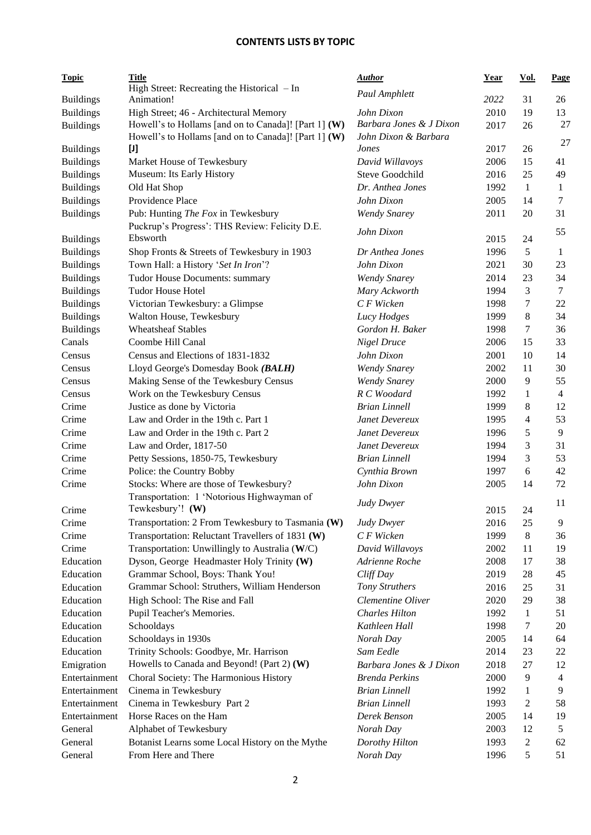| <b>Topic</b>     | <b>Title</b>                                                                                                 | <b>Author</b>                         | <u>Year</u> | <u>Vol.</u>    | Page           |
|------------------|--------------------------------------------------------------------------------------------------------------|---------------------------------------|-------------|----------------|----------------|
|                  | High Street: Recreating the Historical - In                                                                  | Paul Amphlett                         |             |                |                |
| <b>Buildings</b> | Animation!                                                                                                   |                                       | 2022        | 31             | 26             |
| <b>Buildings</b> | High Street; 46 - Architectural Memory                                                                       | John Dixon<br>Barbara Jones & J Dixon | 2010        | 19             | 13             |
| <b>Buildings</b> | Howell's to Hollams [and on to Canada]! [Part 1] (W)<br>Howell's to Hollams [and on to Canada]! [Part 1] (W) | John Dixon & Barbara                  | 2017        | 26             | 27             |
| <b>Buildings</b> | $[1]$                                                                                                        | Jones                                 | 2017        | 26             | 27             |
| <b>Buildings</b> | Market House of Tewkesbury                                                                                   | David Willavoys                       | 2006        | 15             | 41             |
| <b>Buildings</b> | Museum: Its Early History                                                                                    | Steve Goodchild                       | 2016        | 25             | 49             |
| <b>Buildings</b> | Old Hat Shop                                                                                                 | Dr. Anthea Jones                      | 1992        | $\mathbf{1}$   | 1              |
| <b>Buildings</b> | Providence Place                                                                                             | John Dixon                            | 2005        | 14             | 7              |
| <b>Buildings</b> | Pub: Hunting The Fox in Tewkesbury                                                                           | <b>Wendy Snarey</b>                   | 2011        | 20             | 31             |
|                  | Puckrup's Progress': THS Review: Felicity D.E.                                                               |                                       |             |                |                |
| <b>Buildings</b> | Ebsworth                                                                                                     | John Dixon                            | 2015        | 24             | 55             |
| <b>Buildings</b> | Shop Fronts & Streets of Tewkesbury in 1903                                                                  | Dr Anthea Jones                       | 1996        | 5              | 1              |
| <b>Buildings</b> | Town Hall: a History 'Set In Iron'?                                                                          | John Dixon                            | 2021        | 30             | 23             |
| <b>Buildings</b> | Tudor House Documents: summary                                                                               | <b>Wendy Snarey</b>                   | 2014        | 23             | 34             |
| <b>Buildings</b> | <b>Tudor House Hotel</b>                                                                                     | Mary Ackworth                         | 1994        | 3              | $\overline{7}$ |
| <b>Buildings</b> | Victorian Tewkesbury: a Glimpse                                                                              | C F Wicken                            | 1998        | $\tau$         | 22             |
| <b>Buildings</b> | Walton House, Tewkesbury                                                                                     | Lucy Hodges                           | 1999        | 8              | 34             |
| <b>Buildings</b> | <b>Wheatsheaf Stables</b>                                                                                    | Gordon H. Baker                       | 1998        | $\tau$         | 36             |
| Canals           | Coombe Hill Canal                                                                                            | Nigel Druce                           | 2006        | 15             | 33             |
| Census           | Census and Elections of 1831-1832                                                                            | John Dixon                            | 2001        | 10             | 14             |
| Census           | Lloyd George's Domesday Book (BALH)                                                                          | <b>Wendy Snarey</b>                   | 2002        | 11             | 30             |
| Census           | Making Sense of the Tewkesbury Census                                                                        | <b>Wendy Snarey</b>                   | 2000        | 9              | 55             |
| Census           | Work on the Tewkesbury Census                                                                                | R C Woodard                           | 1992        | 1              | $\overline{4}$ |
| Crime            | Justice as done by Victoria                                                                                  | <b>Brian Linnell</b>                  | 1999        | 8              | 12             |
| Crime            | Law and Order in the 19th c. Part 1                                                                          | Janet Devereux                        | 1995        | 4              | 53             |
| Crime            | Law and Order in the 19th c. Part 2                                                                          | Janet Devereux                        | 1996        | 5              | 9              |
| Crime            | Law and Order, 1817-50                                                                                       | Janet Devereux                        | 1994        | 3              | 31             |
| Crime            | Petty Sessions, 1850-75, Tewkesbury                                                                          | <b>Brian Linnell</b>                  | 1994        | 3              | 53             |
| Crime            | Police: the Country Bobby                                                                                    | Cynthia Brown                         | 1997        | 6              | 42             |
| Crime            | Stocks: Where are those of Tewkesbury?                                                                       | John Dixon                            | 2005        | 14             | 72             |
|                  | Transportation: 1 'Notorious Highwayman of                                                                   | Judy Dwyer                            |             |                | 11             |
| Crime            | Tewkesbury'! (W)                                                                                             |                                       | 2015        | 24             |                |
| Crime            | Transportation: 2 From Tewkesbury to Tasmania (W)                                                            | Judy Dwyer                            | 2016        | 25             | 9              |
| Crime            | Transportation: Reluctant Travellers of 1831 (W)                                                             | C F Wicken                            | 1999        | 8              | 36             |
| Crime            | Transportation: Unwillingly to Australia (W/C)                                                               | David Willavoys                       | 2002        | 11             | 19             |
| Education        | Dyson, George Headmaster Holy Trinity (W)                                                                    | Adrienne Roche                        | 2008        | 17             | 38             |
| Education        | Grammar School, Boys: Thank You!                                                                             | Cliff Day                             | 2019        | 28             | 45             |
| Education        | Grammar School: Struthers, William Henderson                                                                 | Tony Struthers                        | 2016        | 25             | 31             |
| Education        | High School: The Rise and Fall                                                                               | Clementine Oliver                     | 2020        | 29             | 38             |
| Education        | Pupil Teacher's Memories.                                                                                    | <b>Charles Hilton</b>                 | 1992        | $\mathbf{1}$   | 51             |
| Education        | Schooldays                                                                                                   | Kathleen Hall                         | 1998        | 7              | 20             |
| Education        | Schooldays in 1930s                                                                                          | Norah Day                             | 2005        | 14             | 64             |
| Education        | Trinity Schools: Goodbye, Mr. Harrison                                                                       | Sam Eedle                             | 2014        | 23             | 22             |
| Emigration       | Howells to Canada and Beyond! (Part 2) (W)                                                                   | Barbara Jones & J Dixon               | 2018        | $27\,$         | 12             |
| Entertainment    | Choral Society: The Harmonious History                                                                       | <b>Brenda Perkins</b>                 | 2000        | 9              | 4              |
| Entertainment    | Cinema in Tewkesbury                                                                                         | <b>Brian Linnell</b>                  | 1992        | 1              | 9              |
| Entertainment    | Cinema in Tewkesbury Part 2                                                                                  | <b>Brian Linnell</b>                  | 1993        | 2              | 58             |
| Entertainment    | Horse Races on the Ham                                                                                       | Derek Benson                          | 2005        | 14             | 19             |
| General          | Alphabet of Tewkesbury                                                                                       | Norah Day                             | 2003        | 12             | 5              |
| General          | Botanist Learns some Local History on the Mythe                                                              | Dorothy Hilton                        | 1993        | $\overline{2}$ | 62             |
| General          | From Here and There                                                                                          | Norah Day                             | 1996        | 5              | 51             |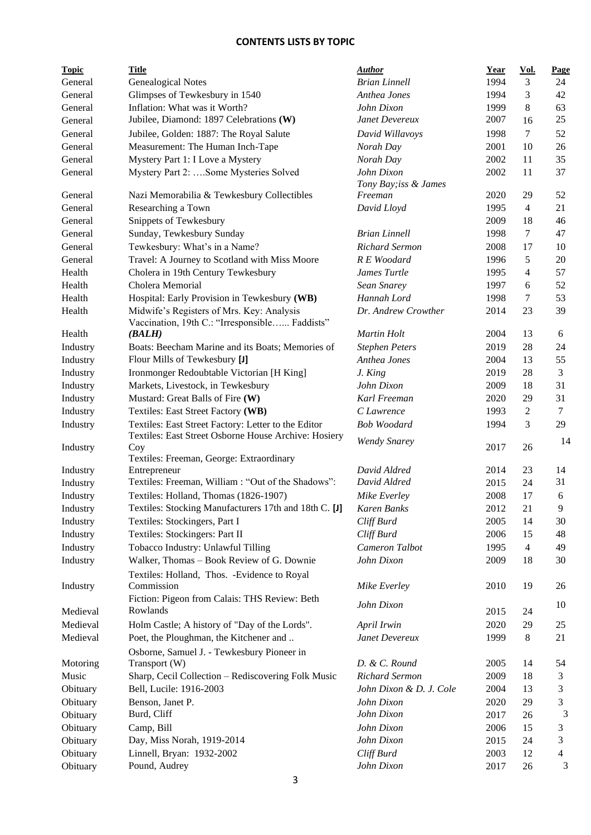| <b>Topic</b> | <b>Title</b>                                                                                | <b>Author</b>           | <b>Year</b> | Vol.             | Page           |
|--------------|---------------------------------------------------------------------------------------------|-------------------------|-------------|------------------|----------------|
| General      | <b>Genealogical Notes</b>                                                                   | <b>Brian Linnell</b>    | 1994        | 3                | 24             |
| General      | Glimpses of Tewkesbury in 1540                                                              | Anthea Jones            | 1994        | 3                | 42             |
| General      | Inflation: What was it Worth?                                                               | John Dixon              | 1999        | 8                | 63             |
| General      | Jubilee, Diamond: 1897 Celebrations (W)                                                     | Janet Devereux          | 2007        | 16               | 25             |
| General      | Jubilee, Golden: 1887: The Royal Salute                                                     | David Willavoys         | 1998        | $\tau$           | 52             |
| General      | Measurement: The Human Inch-Tape                                                            | Norah Day               | 2001        | 10               | 26             |
| General      | Mystery Part 1: I Love a Mystery                                                            | Norah Day               | 2002        | 11               | 35             |
| General      | Mystery Part 2: Some Mysteries Solved                                                       | John Dixon              | 2002        | 11               | 37             |
|              |                                                                                             | Tony Bay; iss & James   |             |                  |                |
| General      | Nazi Memorabilia & Tewkesbury Collectibles                                                  | Freeman                 | 2020        | 29               | 52             |
| General      | Researching a Town                                                                          | David Lloyd             | 1995        | 4                | 21             |
| General      | Snippets of Tewkesbury                                                                      |                         | 2009        | 18               | 46             |
| General      | Sunday, Tewkesbury Sunday                                                                   | <b>Brian Linnell</b>    | 1998        | $\tau$           | 47             |
| General      | Tewkesbury: What's in a Name?                                                               | <b>Richard Sermon</b>   | 2008        | 17               | 10             |
| General      | Travel: A Journey to Scotland with Miss Moore                                               | R E Woodard             | 1996        | 5                | 20             |
| Health       | Cholera in 19th Century Tewkesbury                                                          | James Turtle            | 1995        | $\overline{4}$   | 57             |
| Health       | Cholera Memorial                                                                            | Sean Snarey             | 1997        | 6                | 52             |
| Health       | Hospital: Early Provision in Tewkesbury (WB)                                                | Hannah Lord             | 1998        | 7                | 53             |
| Health       | Midwife's Registers of Mrs. Key: Analysis<br>Vaccination, 19th C.: "Irresponsible Faddists" | Dr. Andrew Crowther     | 2014        | 23               | 39             |
| Health       | (BALH)                                                                                      | Martin Holt             | 2004        | 13               | 6              |
| Industry     | Boats: Beecham Marine and its Boats; Memories of                                            | <b>Stephen Peters</b>   | 2019        | 28               | 24             |
| Industry     | Flour Mills of Tewkesbury [J]                                                               | Anthea Jones            | 2004        | 13               | 55             |
| Industry     | Ironmonger Redoubtable Victorian [H King]                                                   | J. King                 | 2019        | 28               | 3              |
| Industry     | Markets, Livestock, in Tewkesbury                                                           | John Dixon              | 2009        | 18               | 31             |
| Industry     | Mustard: Great Balls of Fire (W)                                                            | Karl Freeman            | 2020        | 29               | 31             |
| Industry     | Textiles: East Street Factory (WB)                                                          | C Lawrence              | 1993        | $\boldsymbol{2}$ | $\tau$         |
| Industry     | Textiles: East Street Factory: Letter to the Editor                                         | <b>Bob Woodard</b>      | 1994        | 3                | 29             |
|              | Textiles: East Street Osborne House Archive: Hosiery                                        |                         |             |                  |                |
| Industry     | Coy<br>Textiles: Freeman, George: Extraordinary                                             | <b>Wendy Snarey</b>     | 2017        | 26               | 14             |
| Industry     | Entrepreneur                                                                                | David Aldred            | 2014        | 23               | 14             |
| Industry     | Textiles: Freeman, William : "Out of the Shadows":                                          | David Aldred            | 2015        | 24               | 31             |
| Industry     | Textiles: Holland, Thomas (1826-1907)                                                       | Mike Everley            | 2008        | 17               | 6              |
| Industry     | Textiles: Stocking Manufacturers 17th and 18th C. [J]                                       | Karen Banks             | 2012        | 21               | 9              |
| Industry     | Textiles: Stockingers, Part I                                                               | Cliff Burd              | 2005        | 14               | 30             |
| Industry     | Textiles: Stockingers: Part II                                                              | Cliff Burd              | 2006        | 15               | 48             |
| Industry     | Tobacco Industry: Unlawful Tilling                                                          | Cameron Talbot          | 1995        | $\overline{4}$   | 49             |
| Industry     | Walker, Thomas - Book Review of G. Downie                                                   | John Dixon              | 2009        | 18               | 30             |
|              |                                                                                             |                         |             |                  |                |
| Industry     | Textiles: Holland, Thos. - Evidence to Royal<br>Commission                                  |                         | 2010        | 19               |                |
|              |                                                                                             | Mike Everley            |             |                  | 26             |
|              | Fiction: Pigeon from Calais: THS Review: Beth<br>Rowlands                                   | John Dixon              |             |                  | 10             |
| Medieval     |                                                                                             |                         | 2015        | 24               |                |
| Medieval     | Holm Castle; A history of "Day of the Lords".                                               | April Irwin             | 2020        | 29               | 25             |
| Medieval     | Poet, the Ploughman, the Kitchener and                                                      | Janet Devereux          | 1999        | 8                | 21             |
|              | Osborne, Samuel J. - Tewkesbury Pioneer in                                                  |                         |             |                  |                |
| Motoring     | Transport (W)                                                                               | D. & C. Round           | 2005        | 14               | 54             |
| Music        | Sharp, Cecil Collection - Rediscovering Folk Music                                          | Richard Sermon          | 2009        | 18               | 3              |
| Obituary     | Bell, Lucile: 1916-2003                                                                     | John Dixon & D. J. Cole | 2004        | 13               | 3              |
| Obituary     | Benson, Janet P.                                                                            | John Dixon              | 2020        | 29               | 3              |
| Obituary     | Burd, Cliff                                                                                 | John Dixon              | 2017        | 26               | 3              |
| Obituary     | Camp, Bill                                                                                  | John Dixon              | 2006        | 15               | 3              |
| Obituary     | Day, Miss Norah, 1919-2014                                                                  | John Dixon              | 2015        | 24               | 3              |
| Obituary     | Linnell, Bryan: 1932-2002                                                                   | Cliff Burd              | 2003        | 12               | $\overline{4}$ |
| Obituary     | Pound, Audrey                                                                               | John Dixon              | 2017        | 26               | 3              |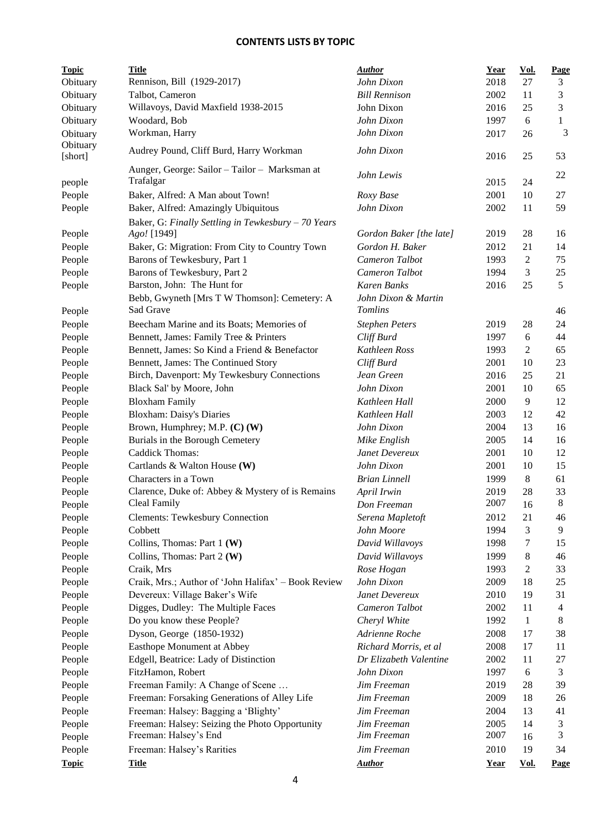| <b>Topic</b>        | <b>Title</b>                                               | <b>Author</b>              | <b>Year</b>  | <u>Vol.</u>    | <b>Page</b> |
|---------------------|------------------------------------------------------------|----------------------------|--------------|----------------|-------------|
| Obituary            | Rennison, Bill (1929-2017)                                 | John Dixon                 | 2018         | 27             | 3           |
| Obituary            | Talbot, Cameron                                            | <b>Bill Rennison</b>       | 2002         | 11             | 3           |
| Obituary            | Willavoys, David Maxfield 1938-2015                        | John Dixon                 | 2016         | 25             | 3           |
| Obituary            | Woodard, Bob                                               | John Dixon                 | 1997         | 6              | 1           |
| Obituary            | Workman, Harry                                             | John Dixon                 | 2017         | 26             | 3           |
| Obituary<br>[short] | Audrey Pound, Cliff Burd, Harry Workman                    | John Dixon                 | 2016         | 25             | 53          |
| people              | Aunger, George: Sailor - Tailor - Marksman at<br>Trafalgar | John Lewis                 | 2015         | 24             | 22          |
| People              | Baker, Alfred: A Man about Town!                           | Roxy Base                  | 2001         | 10             | 27          |
| People              | Baker, Alfred: Amazingly Ubiquitous                        | John Dixon                 | 2002         | 11             | 59          |
|                     | Baker, G: Finally Settling in Tewkesbury - 70 Years        |                            |              |                |             |
| People              | Ago! [1949]                                                | Gordon Baker [the late]    | 2019         | 28             | 16          |
| People              | Baker, G: Migration: From City to Country Town             | Gordon H. Baker            | 2012         | 21             | 14          |
| People              | Barons of Tewkesbury, Part 1                               | Cameron Talbot             | 1993         | $\overline{c}$ | 75          |
| People              | Barons of Tewkesbury, Part 2                               | Cameron Talbot             | 1994         | 3              | 25          |
| People              | Barston, John: The Hunt for                                | <b>Karen Banks</b>         | 2016         | 25             | 5           |
|                     | Bebb, Gwyneth [Mrs T W Thomson]: Cemetery: A               | John Dixon & Martin        |              |                |             |
| People              | Sad Grave                                                  | <b>Tomlins</b>             |              |                | 46          |
| People              | Beecham Marine and its Boats; Memories of                  | <b>Stephen Peters</b>      | 2019         | 28             | 24          |
| People              | Bennett, James: Family Tree & Printers                     | Cliff Burd                 | 1997         | 6              | 44          |
| People              | Bennett, James: So Kind a Friend & Benefactor              | Kathleen Ross              | 1993         | 2              | 65          |
| People              | Bennett, James: The Continued Story                        | Cliff Burd                 | 2001         | 10             | 23          |
| People              | Birch, Davenport: My Tewkesbury Connections                | Jean Green                 | 2016         | 25             | 21          |
| People              | Black Sal' by Moore, John                                  | John Dixon                 | 2001         | 10             | 65          |
| People              | <b>Bloxham Family</b>                                      | Kathleen Hall              | 2000         | 9              | 12          |
| People              | <b>Bloxham: Daisy's Diaries</b>                            | Kathleen Hall              | 2003         | 12             | 42          |
| People              | Brown, Humphrey; M.P. (C) (W)                              | John Dixon                 | 2004         | 13             | 16          |
| People              | Burials in the Borough Cemetery                            | Mike English               | 2005         | 14             | 16          |
| People              | Caddick Thomas:                                            | Janet Devereux             | 2001         | 10             | 12          |
| People              | Cartlands & Walton House (W)                               | John Dixon                 | 2001         | 10             | 15          |
| People              | Characters in a Town                                       | <b>Brian Linnell</b>       | 1999         | 8              | 61          |
| People              | Clarence, Duke of: Abbey & Mystery of is Remains           | April Irwin                | 2019         | 28             | 33          |
| People              | Cleal Family                                               | Don Freeman                | 2007         | 16             | 8           |
| People              | <b>Clements: Tewkesbury Connection</b>                     | Serena Mapletoft           | 2012         | 21             | 46          |
| People              | Cobbett                                                    | John Moore                 | 1994         | 3              | 9           |
| People              | Collins, Thomas: Part 1 (W)                                | David Willavoys            | 1998         | 7              | 15          |
| People              | Collins, Thomas: Part 2 (W)                                | David Willavoys            | 1999         | 8              | 46          |
| People              | Craik, Mrs                                                 | Rose Hogan                 | 1993         | 2              | 33          |
| People              | Craik, Mrs.; Author of 'John Halifax' - Book Review        | John Dixon                 | 2009         | 18             | 25          |
| People              | Devereux: Village Baker's Wife                             | Janet Devereux             | 2010         | 19             | 31          |
| People              | Digges, Dudley: The Multiple Faces                         | Cameron Talbot             | 2002         | 11             | 4           |
| People              | Do you know these People?                                  | Cheryl White               | 1992         | $\mathbf{1}$   | 8           |
| People              | Dyson, George (1850-1932)                                  | Adrienne Roche             | 2008         | 17             | 38          |
| People              | Easthope Monument at Abbey                                 | Richard Morris, et al      | 2008         | 17             | 11          |
| People              | Edgell, Beatrice: Lady of Distinction                      | Dr Elizabeth Valentine     | 2002         | 11             | 27          |
| People              | FitzHamon, Robert                                          | John Dixon                 | 1997         | 6              | 3           |
| People              | Freeman Family: A Change of Scene                          | Jim Freeman                | 2019         | 28             | 39          |
| People              | Freeman: Forsaking Generations of Alley Life               | Jim Freeman                | 2009         | 18             | 26          |
| People              | Freeman: Halsey: Bagging a 'Blighty'                       | Jim Freeman                | 2004         | 13             | 41          |
| People              | Freeman: Halsey: Seizing the Photo Opportunity             | Jim Freeman<br>Jim Freeman | 2005<br>2007 | 14             | 3<br>3      |
| People              | Freeman: Halsey's End                                      |                            |              | 16             |             |
| People              | Freeman: Halsey's Rarities                                 | Jim Freeman                | 2010         | 19             | 34          |
| <b>Topic</b>        | <b>Title</b>                                               | <b>Author</b>              | <b>Year</b>  | Vol.           | <b>Page</b> |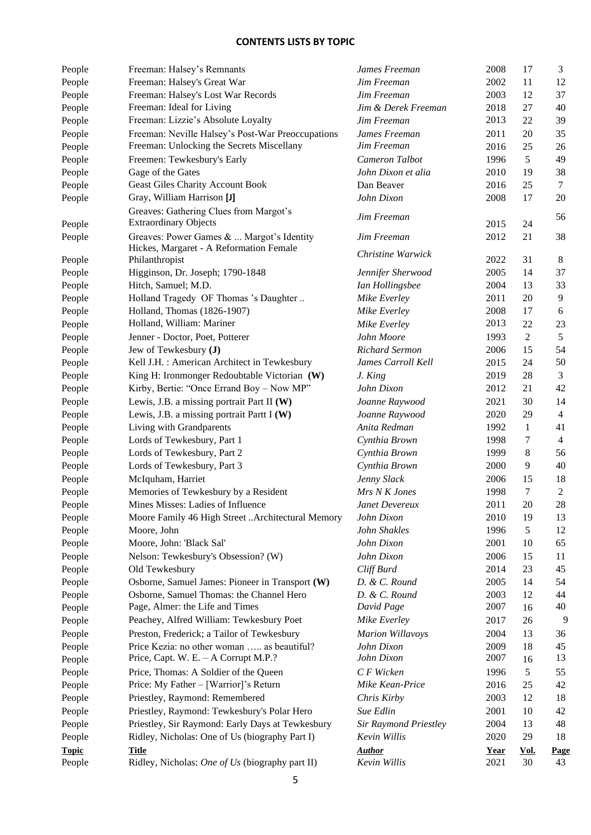| People       | Freeman: Halsey's Remnants                                             | James Freeman                | 2008        | 17             | 3              |
|--------------|------------------------------------------------------------------------|------------------------------|-------------|----------------|----------------|
| People       | Freeman: Halsey's Great War                                            | Jim Freeman                  | 2002        | 11             | 12             |
| People       | Freeman: Halsey's Lost War Records                                     | Jim Freeman                  | 2003        | 12             | 37             |
| People       | Freeman: Ideal for Living                                              | Jim & Derek Freeman          | 2018        | 27             | 40             |
| People       | Freeman: Lizzie's Absolute Loyalty                                     | Jim Freeman                  | 2013        | 22             | 39             |
| People       | Freeman: Neville Halsey's Post-War Preoccupations                      | James Freeman                | 2011        | 20             | 35             |
| People       | Freeman: Unlocking the Secrets Miscellany                              | Jim Freeman                  | 2016        | 25             | 26             |
| People       | Freemen: Tewkesbury's Early                                            | Cameron Talbot               | 1996        | 5              | 49             |
| People       | Gage of the Gates                                                      | John Dixon et alia           | 2010        | 19             | 38             |
| People       | <b>Geast Giles Charity Account Book</b>                                | Dan Beaver                   | 2016        | 25             | $\tau$         |
| People       | Gray, William Harrison [J]                                             | John Dixon                   | 2008        | 17             | $20\,$         |
| People       | Greaves: Gathering Clues from Margot's<br><b>Extraordinary Objects</b> | Jim Freeman                  | 2015        | 24             | 56             |
| People       | Greaves: Power Games &  Margot's Identity                              | Jim Freeman                  | 2012        | 21             | 38             |
|              | Hickes, Margaret - A Reformation Female                                |                              |             |                |                |
| People       | Philanthropist                                                         | Christine Warwick            | 2022        | 31             | 8              |
| People       | Higginson, Dr. Joseph; 1790-1848                                       | Jennifer Sherwood            | 2005        | 14             | 37             |
| People       | Hitch, Samuel; M.D.                                                    | Ian Hollingsbee              | 2004        | 13             | 33             |
| People       | Holland Tragedy OF Thomas 's Daughter                                  | Mike Everley                 | 2011        | 20             | 9              |
| People       | Holland, Thomas (1826-1907)                                            | Mike Everley                 | 2008        | 17             | 6              |
| People       | Holland, William: Mariner                                              | Mike Everley                 | 2013        | 22             | 23             |
| People       | Jenner - Doctor, Poet, Potterer                                        | John Moore                   | 1993        | $\overline{2}$ | 5              |
| People       | Jew of Tewkesbury (J)                                                  | <b>Richard Sermon</b>        | 2006        | 15             | 54             |
| People       | Kell J.H.: American Architect in Tewkesbury                            | James Carroll Kell           | 2015        | 24             | $50\,$         |
| People       | King H: Ironmonger Redoubtable Victorian (W)                           | J. King                      | 2019        | 28             | 3              |
| People       | Kirby, Bertie: "Once Errand Boy - Now MP"                              | John Dixon                   | 2012        | 21             | 42             |
| People       | Lewis, J.B. a missing portrait Part II (W)                             | Joanne Raywood               | 2021        | 30             | 14             |
| People       | Lewis, J.B. a missing portrait Partt I (W)                             | Joanne Raywood               | 2020        | 29             | $\overline{4}$ |
| People       | Living with Grandparents                                               | Anita Redman                 | 1992        | $\mathbf{1}$   | 41             |
| People       | Lords of Tewkesbury, Part 1                                            | Cynthia Brown                | 1998        | 7              | $\overline{4}$ |
| People       | Lords of Tewkesbury, Part 2                                            | Cynthia Brown                | 1999        | 8              | 56             |
| People       | Lords of Tewkesbury, Part 3                                            | Cynthia Brown                | 2000        | 9              | 40             |
| People       | McIquham, Harriet                                                      | Jenny Slack                  | 2006        | 15             | 18             |
| People       | Memories of Tewkesbury by a Resident                                   | Mrs N K Jones                | 1998        | $\tau$         | $\overline{2}$ |
| People       | Mines Misses: Ladies of Influence                                      | Janet Devereux               | 2011        | 20             | 28             |
| People       | Moore Family 46 High Street Architectural Memory                       | John Dixon                   | 2010        | 19             | 13             |
| People       | Moore, John                                                            | John Shakles                 | 1996        | 5              | 12             |
| People       | Moore, John: 'Black Sal'                                               | John Dixon                   | 2001        | 10             | 65             |
| People       | Nelson: Tewkesbury's Obsession? (W)                                    | John Dixon                   | 2006        | 15             | 11             |
| People       | Old Tewkesbury                                                         | Cliff Burd                   | 2014        | 23             | 45             |
| People       | Osborne, Samuel James: Pioneer in Transport (W)                        | D. & C. Round                | 2005        | 14             | 54             |
| People       | Osborne, Samuel Thomas: the Channel Hero                               | D. & C. Round                | 2003        | 12             | 44             |
| People       | Page, Almer: the Life and Times                                        | David Page                   | 2007        | 16             | 40             |
| People       | Peachey, Alfred William: Tewkesbury Poet                               | Mike Everley                 | 2017        | 26             | 9              |
| People       | Preston, Frederick; a Tailor of Tewkesbury                             | <b>Marion Willavoys</b>      | 2004        | 13             | 36             |
| People       | Price Kezia: no other woman  as beautiful?                             | John Dixon                   | 2009        | 18             | 45             |
| People       | Price, Capt. W. E. $-$ A Corrupt M.P.?                                 | John Dixon                   | 2007        | 16             | 13             |
| People       | Price, Thomas: A Soldier of the Queen                                  | C F Wicken                   | 1996        | 5              | 55             |
| People       | Price: My Father - [Warrior]'s Return                                  | Mike Kean-Price              | 2016        | 25             | 42             |
| People       | Priestley, Raymond: Remembered                                         | Chris Kirby                  | 2003        | 12             | 18             |
| People       | Priestley, Raymond: Tewkesbury's Polar Hero                            | Sue Edlin                    | 2001        | 10             | 42             |
| People       | Priestley, Sir Raymond: Early Days at Tewkesbury                       | <b>Sir Raymond Priestley</b> | 2004        | 13             | 48             |
| People       | Ridley, Nicholas: One of Us (biography Part I)                         | Kevin Willis                 | 2020        | 29             | 18             |
| <b>Topic</b> | <b>Title</b>                                                           | <b>Author</b>                | <b>Year</b> | <u>Vol.</u>    | <b>Page</b>    |
| People       | Ridley, Nicholas: One of Us (biography part II)                        | Kevin Willis                 | 2021        | 30             | 43             |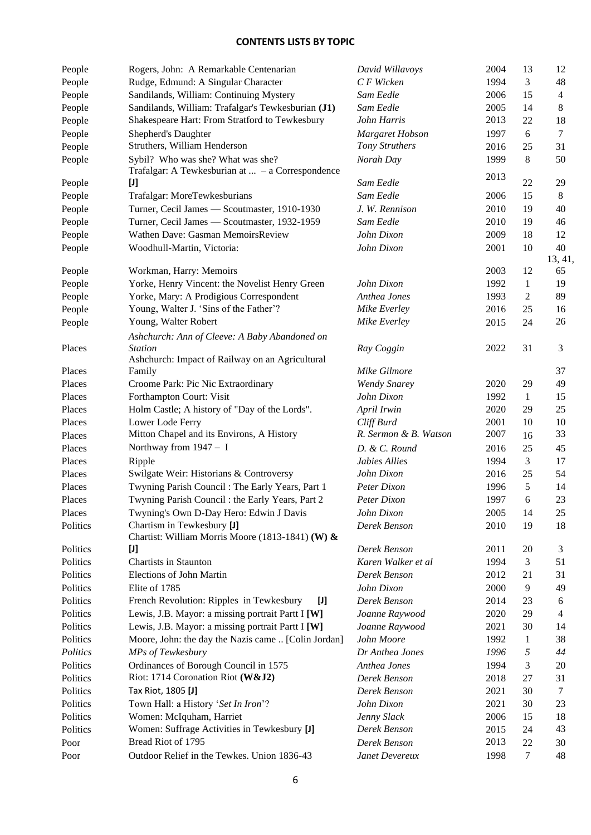| People   | Rogers, John: A Remarkable Centenarian                                                 | David Willavoys                     | 2004         | 13           | 12             |
|----------|----------------------------------------------------------------------------------------|-------------------------------------|--------------|--------------|----------------|
| People   | Rudge, Edmund: A Singular Character                                                    | C F Wicken                          | 1994         | 3            | 48             |
| People   | Sandilands, William: Continuing Mystery                                                | Sam Eedle                           | 2006         | 15           | $\overline{4}$ |
| People   | Sandilands, William: Trafalgar's Tewkesburian (J1)                                     | Sam Eedle                           | 2005         | 14           | $8\,$          |
| People   | Shakespeare Hart: From Stratford to Tewkesbury                                         | John Harris                         | 2013         | 22           | 18             |
| People   | Shepherd's Daughter                                                                    | Margaret Hobson                     | 1997         | 6            | $\tau$         |
| People   | Struthers, William Henderson                                                           | Tony Struthers                      | 2016         | 25           | 31             |
| People   | Sybil? Who was she? What was she?<br>Trafalgar: A Tewkesburian at $-$ a Correspondence | Norah Day                           | 1999<br>2013 | 8            | 50             |
| People   | $[1]$                                                                                  | Sam Eedle                           |              | 22           | 29             |
| People   | Trafalgar: MoreTewkesburians                                                           | Sam Eedle                           | 2006         | 15           | 8              |
| People   | Turner, Cecil James - Scoutmaster, 1910-1930                                           | J. W. Rennison                      | 2010         | 19           | 40             |
| People   | Turner, Cecil James - Scoutmaster, 1932-1959                                           | Sam Eedle                           | 2010         | 19           | 46             |
| People   | Wathen Dave: Gasman MemoirsReview                                                      | John Dixon                          | 2009         | 18           | 12             |
| People   | Woodhull-Martin, Victoria:                                                             | John Dixon                          | 2001         | 10           | 40             |
|          |                                                                                        |                                     |              |              | 13, 41,        |
| People   | Workman, Harry: Memoirs                                                                |                                     | 2003         | 12           | 65             |
| People   | Yorke, Henry Vincent: the Novelist Henry Green                                         | John Dixon                          | 1992         | $\mathbf{1}$ | 19             |
| People   | Yorke, Mary: A Prodigious Correspondent                                                | Anthea Jones                        | 1993         | 2            | 89             |
| People   | Young, Walter J. 'Sins of the Father'?                                                 | Mike Everley                        | 2016         | 25           | 16             |
| People   | Young, Walter Robert                                                                   | Mike Everley                        | 2015         | 24           | 26             |
|          | Ashchurch: Ann of Cleeve: A Baby Abandoned on                                          |                                     |              |              |                |
| Places   | <b>Station</b>                                                                         | Ray Coggin                          | 2022         | 31           | 3              |
|          | Ashchurch: Impact of Railway on an Agricultural                                        |                                     |              |              |                |
| Places   | Family                                                                                 | Mike Gilmore                        |              |              | 37             |
| Places   | Croome Park: Pic Nic Extraordinary                                                     | <b>Wendy Snarey</b>                 | 2020         | 29           | 49             |
| Places   | Forthampton Court: Visit                                                               | John Dixon                          | 1992         | 1            | 15             |
| Places   | Holm Castle; A history of "Day of the Lords".                                          | April Irwin                         | 2020         | 29           | 25             |
| Places   | Lower Lode Ferry<br>Mitton Chapel and its Environs, A History                          | Cliff Burd<br>R. Sermon & B. Watson | 2001<br>2007 | 10           | 10<br>33       |
| Places   | Northway from $1947 - I$                                                               |                                     |              | 16           |                |
| Places   |                                                                                        | D. & C. Round                       | 2016         | 25           | 45             |
| Places   | Ripple                                                                                 | Jabies Allies<br>John Dixon         | 1994         | 3            | 17             |
| Places   | Swilgate Weir: Historians & Controversy                                                |                                     | 2016         | 25           | 54             |
| Places   | Twyning Parish Council: The Early Years, Part 1                                        | Peter Dixon                         | 1996         | 5            | 14             |
| Places   | Twyning Parish Council : the Early Years, Part 2                                       | Peter Dixon                         | 1997         | 6            | 23             |
| Places   | Twyning's Own D-Day Hero: Edwin J Davis                                                | John Dixon                          | 2005         | 14           | 25             |
| Politics | Chartism in Tewkesbury [J]<br>Chartist: William Morris Moore (1813-1841) (W) &         | Derek Benson                        | 2010         | 19           | 18             |
| Politics | IJ                                                                                     | Derek Benson                        | 2011         | 20           | 3              |
| Politics | <b>Chartists in Staunton</b>                                                           | Karen Walker et al                  | 1994         | 3            | 51             |
| Politics | Elections of John Martin                                                               | Derek Benson                        | 2012         | 21           | 31             |
| Politics | Elite of 1785                                                                          | John Dixon                          | 2000         | 9            | 49             |
| Politics | French Revolution: Ripples in Tewkesbury<br>$[1]$                                      | Derek Benson                        | 2014         | 23           | 6              |
| Politics | Lewis, J.B. Mayor: a missing portrait Partt I [W]                                      | Joanne Raywood                      | 2020         | 29           | $\overline{4}$ |
| Politics | Lewis, J.B. Mayor: a missing portrait Partt I [W]                                      | Joanne Raywood                      | 2021         | 30           | 14             |
| Politics | Moore, John: the day the Nazis came  [Colin Jordan]                                    | John Moore                          | 1992         | $\mathbf{1}$ | 38             |
| Politics | MPs of Tewkesbury                                                                      | Dr Anthea Jones                     | 1996         | 5            | 44             |
| Politics | Ordinances of Borough Council in 1575                                                  | Anthea Jones                        | 1994         | 3            | 20             |
| Politics | Riot: 1714 Coronation Riot (W&J2)                                                      | Derek Benson                        | 2018         | 27           | 31             |
| Politics | Tax Riot, 1805 [J]                                                                     | Derek Benson                        | 2021         | 30           | $\tau$         |
| Politics | Town Hall: a History 'Set In Iron'?                                                    | John Dixon                          | 2021         | 30           | 23             |
| Politics | Women: McIquham, Harriet                                                               | Jenny Slack                         | 2006         | 15           | 18             |
| Politics | Women: Suffrage Activities in Tewkesbury [J]                                           | Derek Benson                        | 2015         | 24           | 43             |
| Poor     | Bread Riot of 1795                                                                     | Derek Benson                        | 2013         | 22           | 30             |
| Poor     | Outdoor Relief in the Tewkes. Union 1836-43                                            | Janet Devereux                      | 1998         | 7            | 48             |
|          |                                                                                        |                                     |              |              |                |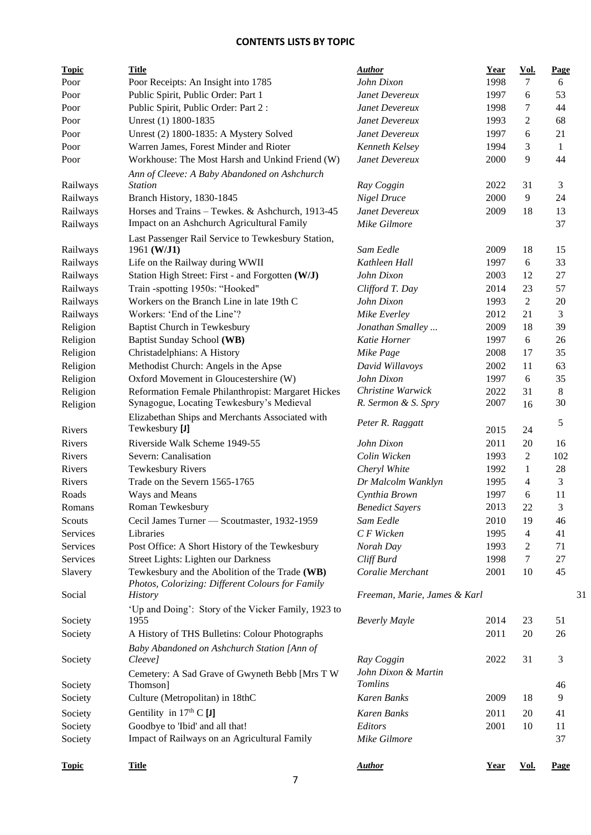| <b>Topic</b> | <b>Title</b>                                        | <b>Author</b>                | Year | Vol.           | Page          |
|--------------|-----------------------------------------------------|------------------------------|------|----------------|---------------|
| Poor         | Poor Receipts: An Insight into 1785                 | John Dixon                   | 1998 | 7              | 6             |
| Poor         | Public Spirit, Public Order: Part 1                 | Janet Devereux               | 1997 | 6              | 53            |
| Poor         | Public Spirit, Public Order: Part 2:                | Janet Devereux               | 1998 | 7              | 44            |
| Poor         | Unrest (1) 1800-1835                                | Janet Devereux               | 1993 | 2              | 68            |
| Poor         | Unrest (2) 1800-1835: A Mystery Solved              | Janet Devereux               | 1997 | 6              | 21            |
| Poor         | Warren James, Forest Minder and Rioter              | Kenneth Kelsey               | 1994 | 3              | $\mathbf{1}$  |
| Poor         | Workhouse: The Most Harsh and Unkind Friend (W)     | Janet Devereux               | 2000 | 9              | 44            |
|              | Ann of Cleeve: A Baby Abandoned on Ashchurch        |                              |      |                |               |
| Railways     | <b>Station</b>                                      | Ray Coggin                   | 2022 | 31             | 3             |
| Railways     | Branch History, 1830-1845                           | Nigel Druce                  | 2000 | 9              | 24            |
| Railways     | Horses and Trains - Tewkes. & Ashchurch, 1913-45    | Janet Devereux               | 2009 | 18             | 13            |
| Railways     | Impact on an Ashchurch Agricultural Family          | Mike Gilmore                 |      |                | 37            |
|              | Last Passenger Rail Service to Tewkesbury Station,  |                              |      |                |               |
| Railways     | 1961 (W/J1)                                         | Sam Eedle                    | 2009 | 18             | 15            |
| Railways     | Life on the Railway during WWII                     | Kathleen Hall                | 1997 | 6              | 33            |
| Railways     | Station High Street: First - and Forgotten (W/J)    | John Dixon                   | 2003 | 12             | 27            |
| Railways     | Train -spotting 1950s: "Hooked"                     | Clifford T. Day              | 2014 | 23             | 57            |
| Railways     | Workers on the Branch Line in late 19th C           | John Dixon                   | 1993 | $\mathfrak{2}$ | 20            |
| Railways     | Workers: 'End of the Line'?                         | Mike Everley                 | 2012 | 21             | 3             |
| Religion     | <b>Baptist Church in Tewkesbury</b>                 | Jonathan Smalley             | 2009 | 18             | 39            |
| Religion     | Baptist Sunday School (WB)                          | Katie Horner                 | 1997 | 6              | 26            |
| Religion     | Christadelphians: A History                         | Mike Page                    | 2008 | 17             | 35            |
| Religion     | Methodist Church: Angels in the Apse                | David Willavoys              | 2002 | 11             | 63            |
| Religion     | Oxford Movement in Gloucestershire (W)              | John Dixon                   | 1997 | 6              | 35            |
| Religion     | Reformation Female Philanthropist: Margaret Hickes  | Christine Warwick            | 2022 | 31             | 8             |
| Religion     | Synagogue, Locating Tewkesbury's Medieval           | R. Sermon & S. Spry          | 2007 | 16             | 30            |
|              | Elizabethan Ships and Merchants Associated with     |                              |      |                |               |
| Rivers       | Tewkesbury [J]                                      | Peter R. Raggatt             | 2015 | 24             | $\mathfrak s$ |
| Rivers       | Riverside Walk Scheme 1949-55                       | John Dixon                   | 2011 | 20             | 16            |
| Rivers       | Severn: Canalisation                                | Colin Wicken                 | 1993 | $\mathfrak{2}$ | 102           |
| Rivers       | Tewkesbury Rivers                                   | Cheryl White                 | 1992 | 1              | 28            |
| Rivers       | Trade on the Severn 1565-1765                       | Dr Malcolm Wanklyn           | 1995 | $\overline{4}$ | 3             |
| Roads        | Ways and Means                                      | Cynthia Brown                | 1997 | 6              | 11            |
| Romans       | Roman Tewkesbury                                    | <b>Benedict Sayers</b>       | 2013 | 22             | 3             |
| Scouts       | Cecil James Turner - Scoutmaster, 1932-1959         | Sam Eedle                    | 2010 | 19             | 46            |
| Services     | Libraries                                           | C F Wicken                   | 1995 | $\overline{4}$ | 41            |
| Services     | Post Office: A Short History of the Tewkesbury      | Norah Day                    | 1993 | 2              | 71            |
| Services     | Street Lights: Lighten our Darkness                 | Cliff Burd                   | 1998 | $\overline{7}$ | 27            |
| Slavery      | Tewkesbury and the Abolition of the Trade (WB)      | Coralie Merchant             | 2001 | 10             | 45            |
|              | Photos, Colorizing: Different Colours for Family    |                              |      |                |               |
| Social       | <i>History</i>                                      | Freeman, Marie, James & Karl |      |                | 31            |
|              | 'Up and Doing': Story of the Vicker Family, 1923 to |                              |      |                |               |
| Society      | 1955                                                | <b>Beverly Mayle</b>         | 2014 | 23             | 51            |
| Society      | A History of THS Bulletins: Colour Photographs      |                              | 2011 | 20             | 26            |
|              | Baby Abandoned on Ashchurch Station [Ann of         |                              |      |                |               |
| Society      | Cleeve]                                             | Ray Coggin                   | 2022 | 31             | 3             |
|              | Cemetery: A Sad Grave of Gwyneth Bebb [Mrs T W      | John Dixon & Martin          |      |                |               |
| Society      | Thomson]                                            | <b>Tomlins</b>               |      |                | 46            |
| Society      | Culture (Metropolitan) in 18thC                     | Karen Banks                  | 2009 | 18             | 9             |
|              |                                                     |                              |      |                |               |
| Society      | Gentility in $17th$ C [J]                           | Karen Banks                  | 2011 | 20             | 41            |
| Society      | Goodbye to 'Ibid' and all that!                     | Editors                      | 2001 | 10             | 11            |
| Society      | Impact of Railways on an Agricultural Family        | Mike Gilmore                 |      |                | 37            |
|              |                                                     |                              |      |                |               |
| <b>Topic</b> | <b>Title</b>                                        | <b>Author</b>                | Year | Vol.           | Page          |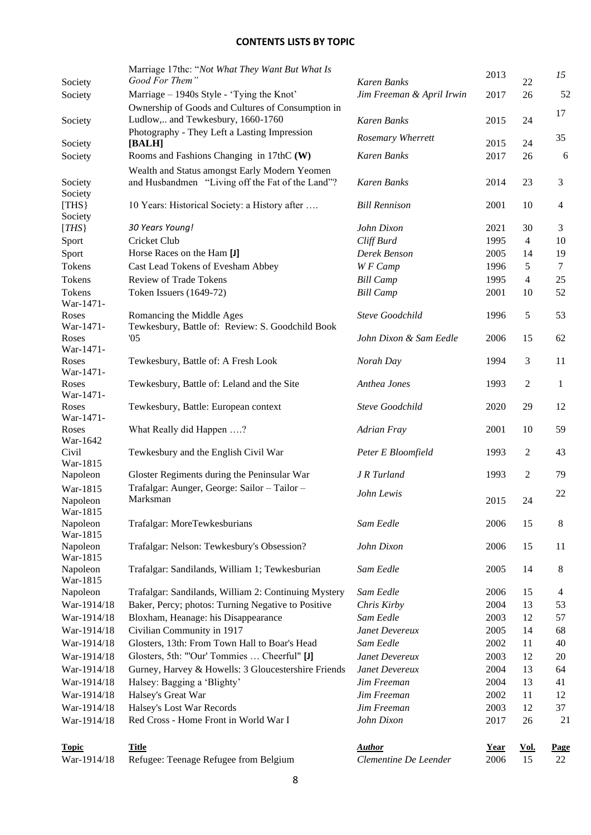|                      | Marriage 17thc: "Not What They Want But What Is                                             |                           | 2013        |                | 15             |
|----------------------|---------------------------------------------------------------------------------------------|---------------------------|-------------|----------------|----------------|
| Society              | Good For Them"                                                                              | Karen Banks               |             | 22             |                |
| Society              | Marriage – 1940s Style - 'Tying the Knot'                                                   | Jim Freeman & April Irwin | 2017        | 26             | 52             |
| Society              | Ownership of Goods and Cultures of Consumption in<br>Ludlow, and Tewkesbury, 1660-1760      | Karen Banks               | 2015        | 24             | 17             |
|                      | Photography - They Left a Lasting Impression                                                |                           |             |                |                |
| Society              | [BALH]                                                                                      | Rosemary Wherrett         | 2015        | 24             | 35             |
| Society              | Rooms and Fashions Changing in 17thC (W)                                                    | Karen Banks               | 2017        | 26             | 6              |
|                      | Wealth and Status amongst Early Modern Yeomen                                               |                           |             |                |                |
| Society              | and Husbandmen "Living off the Fat of the Land"?                                            | Karen Banks               | 2014        | 23             | $\mathfrak{Z}$ |
| Society              |                                                                                             |                           |             |                |                |
| [THS]                | 10 Years: Historical Society: a History after                                               | <b>Bill Rennison</b>      | 2001        | 10             | $\overline{4}$ |
| Society              |                                                                                             |                           |             |                |                |
| [THS]                | 30 Years Young!                                                                             | John Dixon                | 2021        | 30             | 3              |
| Sport                | Cricket Club                                                                                | Cliff Burd                | 1995        | $\overline{4}$ | 10             |
| Sport                | Horse Races on the Ham [J]                                                                  | Derek Benson              | 2005        | 14             | 19             |
| Tokens               | Cast Lead Tokens of Evesham Abbey                                                           | W F Camp                  | 1996        | 5              | $\overline{7}$ |
| Tokens               | <b>Review of Trade Tokens</b>                                                               | <b>Bill Camp</b>          | 1995        | $\overline{4}$ | 25             |
| Tokens<br>War-1471-  | Token Issuers (1649-72)                                                                     | <b>Bill Camp</b>          | 2001        | 10             | 52             |
| Roses                | Romancing the Middle Ages                                                                   | <b>Steve Goodchild</b>    | 1996        | 5              | 53             |
| War-1471-            | Tewkesbury, Battle of: Review: S. Goodchild Book                                            |                           |             |                |                |
| Roses                | 05                                                                                          | John Dixon & Sam Eedle    | 2006        | 15             | 62             |
| War-1471-            |                                                                                             |                           |             |                |                |
| Roses                | Tewkesbury, Battle of: A Fresh Look                                                         | Norah Day                 | 1994        | 3              | 11             |
| War-1471-            |                                                                                             |                           |             |                |                |
| Roses<br>War-1471-   | Tewkesbury, Battle of: Leland and the Site                                                  | Anthea Jones              | 1993        | 2              | $\mathbf{1}$   |
| Roses                | Tewkesbury, Battle: European context                                                        | <b>Steve Goodchild</b>    | 2020        | 29             | 12             |
| War-1471-            |                                                                                             |                           |             |                |                |
| Roses                | What Really did Happen ?                                                                    | <b>Adrian Fray</b>        | 2001        | 10             | 59             |
| War-1642             |                                                                                             |                           |             |                |                |
| Civil                | Tewkesbury and the English Civil War                                                        | Peter E Bloomfield        | 1993        | 2              | 43             |
| War-1815             |                                                                                             |                           |             | $\overline{2}$ | 79             |
| Napoleon             | Gloster Regiments during the Peninsular War<br>Trafalgar: Aunger, George: Sailor - Tailor - | J R Turland               | 1993        |                |                |
| War-1815<br>Napoleon | Marksman                                                                                    | John Lewis                | 2015        | 24             | 22             |
| War-1815             |                                                                                             |                           |             |                |                |
| Napoleon             | Trafalgar: MoreTewkesburians                                                                | Sam Eedle                 | 2006        | 15             | 8              |
| War-1815             |                                                                                             |                           |             |                |                |
| Napoleon             | Trafalgar: Nelson: Tewkesbury's Obsession?                                                  | John Dixon                | 2006        | 15             | 11             |
| War-1815             |                                                                                             |                           |             |                |                |
| Napoleon             | Trafalgar: Sandilands, William 1; Tewkesburian                                              | Sam Eedle                 | 2005        | 14             | $\,8\,$        |
| War-1815<br>Napoleon | Trafalgar: Sandilands, William 2: Continuing Mystery                                        | Sam Eedle                 | 2006        | 15             | $\overline{4}$ |
| War-1914/18          | Baker, Percy; photos: Turning Negative to Positive                                          | Chris Kirby               | 2004        | 13             | 53             |
| War-1914/18          | Bloxham, Heanage: his Disappearance                                                         | Sam Eedle                 | 2003        | 12             | 57             |
| War-1914/18          | Civilian Community in 1917                                                                  | Janet Devereux            | 2005        | 14             | 68             |
| War-1914/18          | Glosters, 13th: From Town Hall to Boar's Head                                               | Sam Eedle                 | 2002        | 11             | 40             |
| War-1914/18          | Glosters, 5th: "'Our' Tommies  Cheerful" [J]                                                | Janet Devereux            | 2003        | 12             | 20             |
| War-1914/18          | Gurney, Harvey & Howells: 3 Gloucestershire Friends                                         | Janet Devereux            | 2004        | 13             | 64             |
| War-1914/18          | Halsey: Bagging a 'Blighty'                                                                 | Jim Freeman               | 2004        | 13             | 41             |
| War-1914/18          | Halsey's Great War                                                                          | Jim Freeman               | 2002        | 11             | 12             |
| War-1914/18          | Halsey's Lost War Records                                                                   | Jim Freeman               | 2003        | 12             | 37             |
| War-1914/18          | Red Cross - Home Front in World War I                                                       | John Dixon                | 2017        | 26             | 21             |
|                      |                                                                                             |                           |             |                |                |
| <b>Topic</b>         | <b>Title</b>                                                                                | <b>Author</b>             | <u>Year</u> | Vol.           | <b>Page</b>    |
| War-1914/18          | Refugee: Teenage Refugee from Belgium                                                       | Clementine De Leender     | 2006        | 15             | 22             |
|                      |                                                                                             |                           |             |                |                |